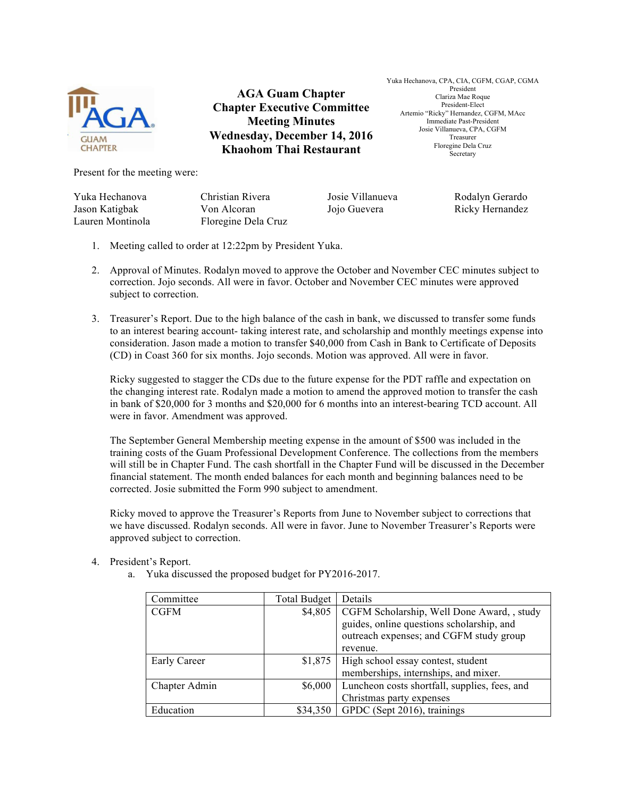

**AGA Guam Chapter Chapter Executive Committee Meeting Minutes Wednesday, December 14, 2016 Khaohom Thai Restaurant**

Yuka Hechanova, CPA, CIA, CGFM, CGAP, CGMA President Clariza Mae Roque President-Elect Artemio "Ricky" Hernandez, CGFM, MAcc Immediate Past-President Josie Villanueva, CPA, CGFM Treasurer Floregine Dela Cruz **Secretary** 

Present for the meeting were:

Yuka Hechanova Jason Katigbak

Christian Rivera Von Alcoran Lauren Montinola Floregine Dela Cruz Josie Villanueva Jojo Guevera

Rodalyn Gerardo Ricky Hernandez

- 1. Meeting called to order at 12:22pm by President Yuka.
- 2. Approval of Minutes. Rodalyn moved to approve the October and November CEC minutes subject to correction. Jojo seconds. All were in favor. October and November CEC minutes were approved subject to correction.
- 3. Treasurer's Report. Due to the high balance of the cash in bank, we discussed to transfer some funds to an interest bearing account- taking interest rate, and scholarship and monthly meetings expense into consideration. Jason made a motion to transfer \$40,000 from Cash in Bank to Certificate of Deposits (CD) in Coast 360 for six months. Jojo seconds. Motion was approved. All were in favor.

Ricky suggested to stagger the CDs due to the future expense for the PDT raffle and expectation on the changing interest rate. Rodalyn made a motion to amend the approved motion to transfer the cash in bank of \$20,000 for 3 months and \$20,000 for 6 months into an interest-bearing TCD account. All were in favor. Amendment was approved.

The September General Membership meeting expense in the amount of \$500 was included in the training costs of the Guam Professional Development Conference. The collections from the members will still be in Chapter Fund. The cash shortfall in the Chapter Fund will be discussed in the December financial statement. The month ended balances for each month and beginning balances need to be corrected. Josie submitted the Form 990 subject to amendment.

Ricky moved to approve the Treasurer's Reports from June to November subject to corrections that we have discussed. Rodalyn seconds. All were in favor. June to November Treasurer's Reports were approved subject to correction.

- 4. President's Report.
	- a. Yuka discussed the proposed budget for PY2016-2017.

| Committee     | <b>Total Budget</b> | Details                                                                                                                            |
|---------------|---------------------|------------------------------------------------------------------------------------------------------------------------------------|
| <b>CGFM</b>   | \$4,805             | CGFM Scholarship, Well Done Award, , study<br>guides, online questions scholarship, and<br>outreach expenses; and CGFM study group |
|               |                     | revenue.                                                                                                                           |
| Early Career  | \$1,875             | High school essay contest, student<br>memberships, internships, and mixer.                                                         |
| Chapter Admin | \$6,000             | Luncheon costs shortfall, supplies, fees, and                                                                                      |
|               |                     | Christmas party expenses                                                                                                           |
| Education     | \$34,350            | GPDC (Sept 2016), trainings                                                                                                        |